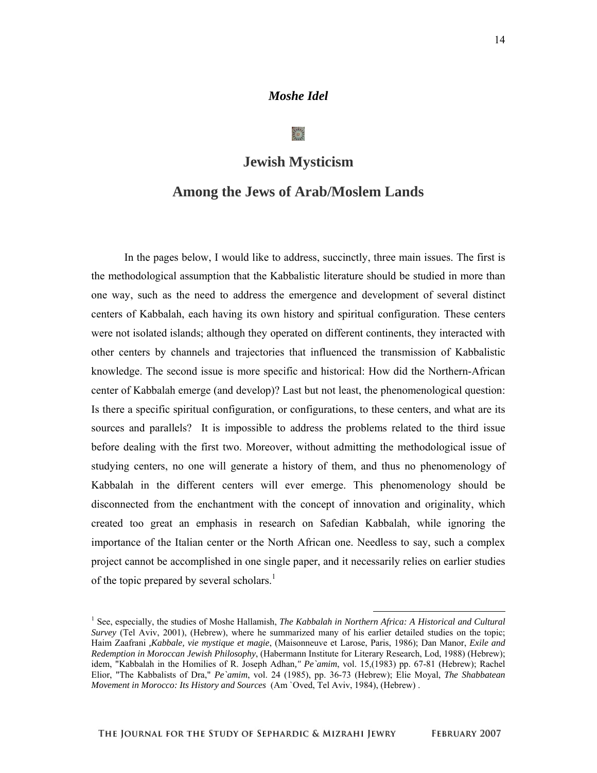# *Moshe Idel*

# **Jewish Mysticism**

# **Among the Jews of Arab/Moslem Lands**

In the pages below, I would like to address, succinctly, three main issues. The first is the methodological assumption that the Kabbalistic literature should be studied in more than one way, such as the need to address the emergence and development of several distinct centers of Kabbalah, each having its own history and spiritual configuration. These centers were not isolated islands; although they operated on different continents, they interacted with other centers by channels and trajectories that influenced the transmission of Kabbalistic knowledge. The second issue is more specific and historical: How did the Northern-African center of Kabbalah emerge (and develop)? Last but not least, the phenomenological question: Is there a specific spiritual configuration, or configurations, to these centers, and what are its sources and parallels? It is impossible to address the problems related to the third issue before dealing with the first two. Moreover, without admitting the methodological issue of studying centers, no one will generate a history of them, and thus no phenomenology of Kabbalah in the different centers will ever emerge. This phenomenology should be disconnected from the enchantment with the concept of innovation and originality, which created too great an emphasis in research on Safedian Kabbalah, while ignoring the importance of the Italian center or the North African one. Needless to say, such a complex project cannot be accomplished in one single paper, and it necessarily relies on earlier studies of the topic prepared by several scholars. $<sup>1</sup>$ </sup>

<sup>&</sup>lt;sup>1</sup> See, especially, the studies of Moshe Hallamish, *The Kabbalah in Northern Africa: A Historical and Cultural* <sup>1</sup> *Survey* (Tel Aviv, 2001), (Hebrew), where he summarized many of his earlier detailed studies on the topic; Haim Zaafrani *,Kabbale, vie mystique et magie*, (Maisonneuve et Larose, Paris, 1986); Dan Manor, *Exile and Redemption in Moroccan Jewish Philosophy*, (Habermann Institute for Literary Research, Lod, 1988) (Hebrew); idem, "Kabbalah in the Homilies of R. Joseph Adhan," Pe`amim, vol. 15,(1983) pp. 67-81 (Hebrew); Rachel Elior, "The Kabbalists of Dra," *Pe`amim*, vol. 24 (1985), pp. 36-73 (Hebrew); Elie Moyal, *The Shabbatean Movement in Morocco: Its History and Sources* (Am `Oved, Tel Aviv, 1984), (Hebrew) .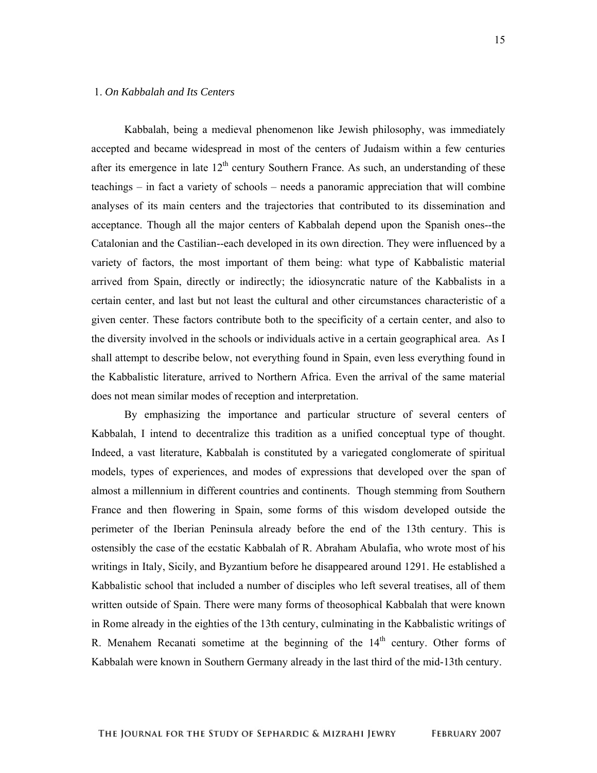## 1. *On Kabbalah and Its Centers*

Kabbalah, being a medieval phenomenon like Jewish philosophy, was immediately accepted and became widespread in most of the centers of Judaism within a few centuries after its emergence in late  $12<sup>th</sup>$  century Southern France. As such, an understanding of these teachings – in fact a variety of schools – needs a panoramic appreciation that will combine analyses of its main centers and the trajectories that contributed to its dissemination and acceptance. Though all the major centers of Kabbalah depend upon the Spanish ones--the Catalonian and the Castilian--each developed in its own direction. They were influenced by a variety of factors, the most important of them being: what type of Kabbalistic material arrived from Spain, directly or indirectly; the idiosyncratic nature of the Kabbalists in a certain center, and last but not least the cultural and other circumstances characteristic of a given center. These factors contribute both to the specificity of a certain center, and also to the diversity involved in the schools or individuals active in a certain geographical area. As I shall attempt to describe below, not everything found in Spain, even less everything found in the Kabbalistic literature, arrived to Northern Africa. Even the arrival of the same material does not mean similar modes of reception and interpretation.

By emphasizing the importance and particular structure of several centers of Kabbalah, I intend to decentralize this tradition as a unified conceptual type of thought. Indeed, a vast literature, Kabbalah is constituted by a variegated conglomerate of spiritual models, types of experiences, and modes of expressions that developed over the span of almost a millennium in different countries and continents. Though stemming from Southern France and then flowering in Spain, some forms of this wisdom developed outside the perimeter of the Iberian Peninsula already before the end of the 13th century. This is ostensibly the case of the ecstatic Kabbalah of R. Abraham Abulafia, who wrote most of his writings in Italy, Sicily, and Byzantium before he disappeared around 1291. He established a Kabbalistic school that included a number of disciples who left several treatises, all of them written outside of Spain. There were many forms of theosophical Kabbalah that were known in Rome already in the eighties of the 13th century, culminating in the Kabbalistic writings of R. Menahem Recanati sometime at the beginning of the  $14<sup>th</sup>$  century. Other forms of Kabbalah were known in Southern Germany already in the last third of the mid-13th century.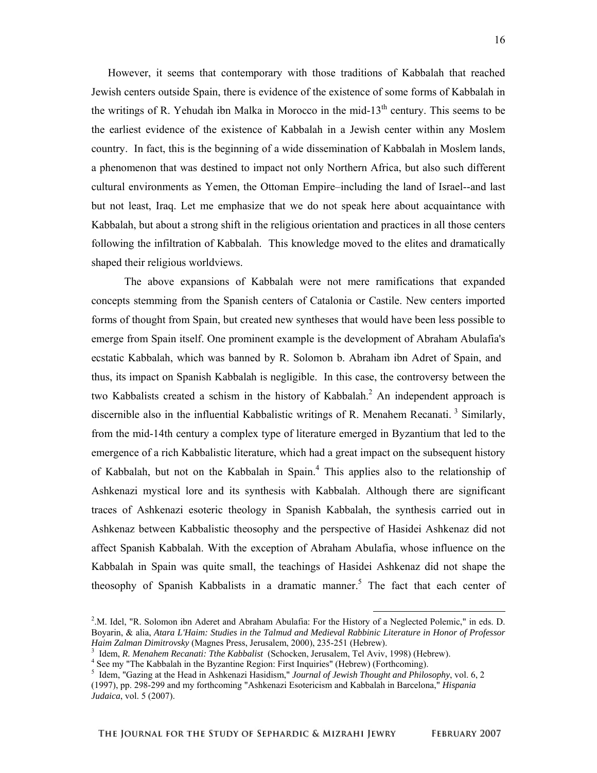However, it seems that contemporary with those traditions of Kabbalah that reached Jewish centers outside Spain, there is evidence of the existence of some forms of Kabbalah in the writings of R. Yehudah ibn Malka in Morocco in the mid-13<sup>th</sup> century. This seems to be the earliest evidence of the existence of Kabbalah in a Jewish center within any Moslem country. In fact, this is the beginning of a wide dissemination of Kabbalah in Moslem lands, a phenomenon that was destined to impact not only Northern Africa, but also such different cultural environments as Yemen, the Ottoman Empire–including the land of Israel--and last but not least, Iraq. Let me emphasize that we do not speak here about acquaintance with Kabbalah, but about a strong shift in the religious orientation and practices in all those centers following the infiltration of Kabbalah. This knowledge moved to the elites and dramatically shaped their religious worldviews.

The above expansions of Kabbalah were not mere ramifications that expanded concepts stemming from the Spanish centers of Catalonia or Castile. New centers imported forms of thought from Spain, but created new syntheses that would have been less possible to emerge from Spain itself. One prominent example is the development of Abraham Abulafia's ecstatic Kabbalah, which was banned by R. Solomon b. Abraham ibn Adret of Spain, and thus, its impact on Spanish Kabbalah is negligible. In this case, the controversy between the two Kabbalists created a schism in the history of Kabbalah. $^2$  An independent approach is discernible also in the influential Kabbalistic writings of R. Menahem Recanati.<sup>3</sup> Similarly, from the mid-14th century a complex type of literature emerged in Byzantium that led to the emergence of a rich Kabbalistic literature, which had a great impact on the subsequent history of Kabbalah, but not on the Kabbalah in Spain.<sup>4</sup> This applies also to the relationship of Ashkenazi mystical lore and its synthesis with Kabbalah. Although there are significant traces of Ashkenazi esoteric theology in Spanish Kabbalah, the synthesis carried out in Ashkenaz between Kabbalistic theosophy and the perspective of Hasidei Ashkenaz did not affect Spanish Kabbalah. With the exception of Abraham Abulafia, whose influence on the Kabbalah in Spain was quite small, the teachings of Hasidei Ashkenaz did not shape the theosophy of Spanish Kabbalists in a dramatic manner.<sup>5</sup> The fact that each center of

<sup>3</sup> Idem, *R. Menahem Recanati: Tthe Kabbalist* (Schocken, Jerusalem, Tel Aviv, 1998) (Hebrew).

<sup>&</sup>lt;sup>2</sup>.M. Idel, "R. Solomon ibn Aderet and Abraham Abulafia: For the History of a Neglected Polemic," in eds. D. Boyarin, & alia, *Atara L'Haim: Studies in the Talmud and Medieval Rabbinic Literature in Honor of Professor Haim Zalman Dimitrovsky* (Magnes Press, Jerusalem, 2000), 235-251 (Hebrew).

<sup>&</sup>lt;sup>4</sup> See my "The Kabbalah in the Byzantine Region: First Inquiries" (Hebrew) (Forthcoming).

<sup>5</sup> Idem, "Gazing at the Head in Ashkenazi Hasidism," *Journal of Jewish Thought and Philosophy*, vol. 6, 2 (1997), pp. 298-299 and my forthcoming "Ashkenazi Esotericism and Kabbalah in Barcelona," *Hispania Judaica*, vol. 5 (2007).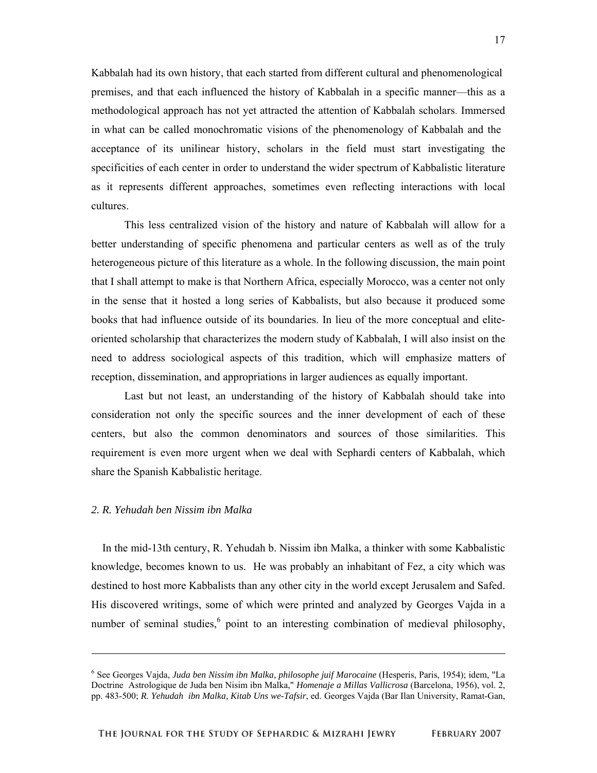Kabbalah had its own history, that each started from different cultural and phenomenological premises, and that each influenced the history of Kabbalah in a specific manner—this as a methodological approach has not yet attracted the attention of Kabbalah scholars. Immersed in what can be called monochromatic visions of the phenomenology of Kabbalah and the acceptance of its unilinear history, scholars in the field must start investigating the specificities of each center in order to understand the wider spectrum of Kabbalistic literature as it represents different approaches, sometimes even reflecting interactions with local cultures.

This less centralized vision of the history and nature of Kabbalah will allow for a better understanding of specific phenomena and particular centers as well as of the truly heterogeneous picture of this literature as a whole. In the following discussion, the main point that I shall attempt to make is that Northern Africa, especially Morocco, was a center not only in the sense that it hosted a long series of Kabbalists, but also because it produced some books that had influence outside of its boundaries. In lieu of the more conceptual and eliteoriented scholarship that characterizes the modern study of Kabbalah, I will also insist on the need to address sociological aspects of this tradition, which will emphasize matters of reception, dissemination, and appropriations in larger audiences as equally important.

Last but not least, an understanding of the history of Kabbalah should take into consideration not only the specific sources and the inner development of each of these centers, but also the common denominators and sources of those similarities. This requirement is even more urgent when we deal with Sephardi centers of Kabbalah, which share the Spanish Kabbalistic heritage.

#### *2. R. Yehudah ben Nissim ibn Malka*

-

 In the mid-13th century, R. Yehudah b. Nissim ibn Malka, a thinker with some Kabbalistic knowledge, becomes known to us. He was probably an inhabitant of Fez, a city which was destined to host more Kabbalists than any other city in the world except Jerusalem and Safed. His discovered writings, some of which were printed and analyzed by Georges Vajda in a number of seminal studies,<sup>6</sup> point to an interesting combination of medieval philosophy,

<sup>6</sup> See Georges Vajda, *Juda ben Nissim ibn Malka, philosophe juif Marocaine* (Hesperis, Paris, 1954); idem, "La Doctrine Astrologique de Juda ben Nisim ibn Malka," *Homenaje a Millas Vallicrosa* (Barcelona, 1956), vol. 2, pp. 483-500; *R. Yehudah ibn Malka, Kitab Uns we-Tafsir*, ed. Georges Vajda (Bar Ilan University, Ramat-Gan,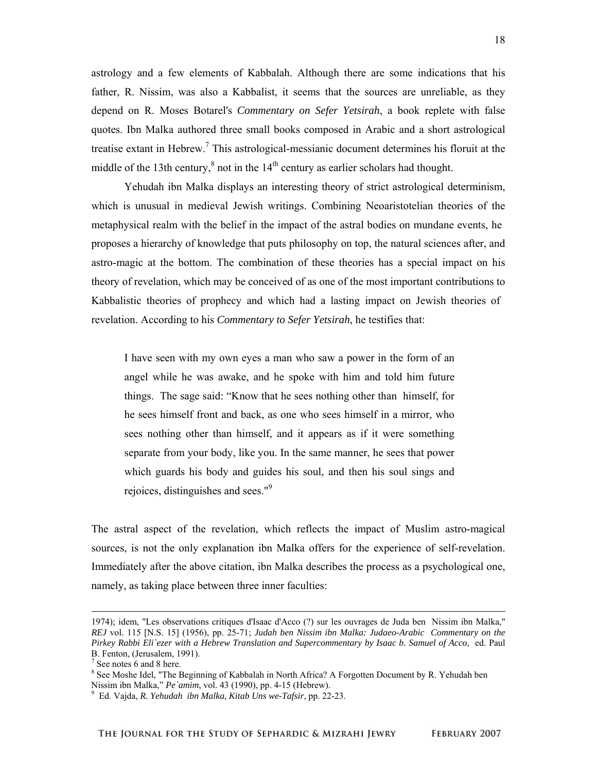astrology and a few elements of Kabbalah. Although there are some indications that his father, R. Nissim, was also a Kabbalist, it seems that the sources are unreliable, as they depend on R. Moses Botarel's *Commentary on Sefer Yetsirah*, a book replete with false quotes. Ibn Malka authored three small books composed in Arabic and a short astrological treatise extant in Hebrew.<sup>7</sup> This astrological-messianic document determines his floruit at the middle of the 13th century, $8$  not in the 14<sup>th</sup> century as earlier scholars had thought.

Yehudah ibn Malka displays an interesting theory of strict astrological determinism, which is unusual in medieval Jewish writings. Combining Neoaristotelian theories of the metaphysical realm with the belief in the impact of the astral bodies on mundane events, he proposes a hierarchy of knowledge that puts philosophy on top, the natural sciences after, and astro-magic at the bottom. The combination of these theories has a special impact on his theory of revelation, which may be conceived of as one of the most important contributions to Kabbalistic theories of prophecy and which had a lasting impact on Jewish theories of revelation. According to his *Commentary to Sefer Yetsirah*, he testifies that:

I have seen with my own eyes a man who saw a power in the form of an angel while he was awake, and he spoke with him and told him future things. The sage said: "Know that he sees nothing other than himself, for he sees himself front and back, as one who sees himself in a mirror, who sees nothing other than himself, and it appears as if it were something separate from your body, like you. In the same manner, he sees that power which guards his body and guides his soul, and then his soul sings and rejoices, distinguishes and sees."<sup>9</sup>

The astral aspect of the revelation, which reflects the impact of Muslim astro-magical sources, is not the only explanation ibn Malka offers for the experience of self-revelation. Immediately after the above citation, ibn Malka describes the process as a psychological one, namely, as taking place between three inner faculties:

 <sup>1974);</sup> idem, "Les observations critiques d'Isaac d'Acco (?) sur les ouvrages de Juda ben Nissim ibn Malka," *REJ* vol. 115 [N.S. 15] (1956), pp. 25-71; *Judah ben Nissim ibn Malka: Judaeo-Arabic Commentary on the Pirkey Rabbi Eli`ezer with a Hebrew Translation and Supercommentary by Isaac b. Samuel of Acco*, ed. Paul B. Fenton, (Jerusalem, 1991).

<sup>&</sup>lt;sup>7</sup> See notes 6 and 8 here.

<sup>&</sup>lt;sup>8</sup> See Moshe Idel, "The Beginning of Kabbalah in North Africa? A Forgotten Document by R. Yehudah ben Nissim ibn Malka," *Pe`amim*, vol. 43 (1990), pp. 4-15 (Hebrew).<br><sup>9</sup> Ed Noide, *P. Voludak, ibn Malka, Kitab Unawa Tafsin*, pp. 22.

Ed. Vajda, *R. Yehudah ibn Malka, Kitab Uns we-Tafsir*, pp. 22-23.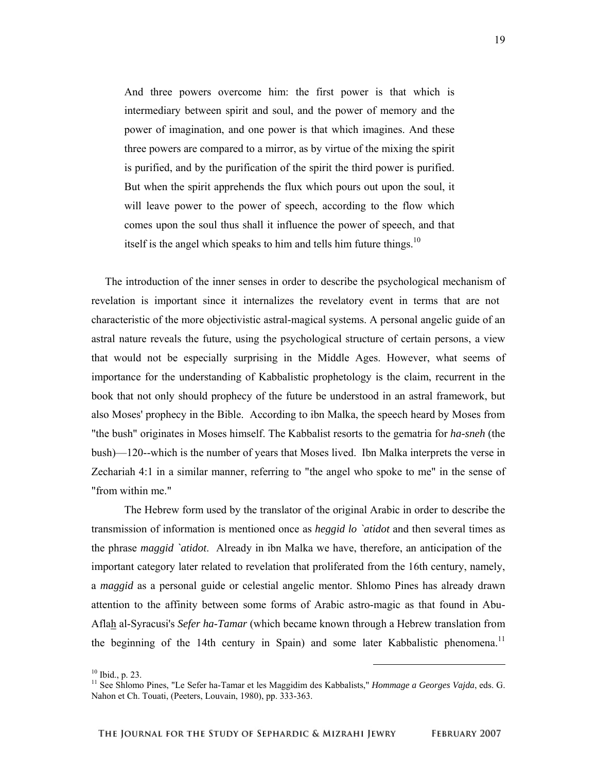And three powers overcome him: the first power is that which is intermediary between spirit and soul, and the power of memory and the power of imagination, and one power is that which imagines. And these three powers are compared to a mirror, as by virtue of the mixing the spirit is purified, and by the purification of the spirit the third power is purified. But when the spirit apprehends the flux which pours out upon the soul, it will leave power to the power of speech, according to the flow which comes upon the soul thus shall it influence the power of speech, and that itself is the angel which speaks to him and tells him future things.<sup>10</sup>

 The introduction of the inner senses in order to describe the psychological mechanism of revelation is important since it internalizes the revelatory event in terms that are not characteristic of the more objectivistic astral-magical systems. A personal angelic guide of an astral nature reveals the future, using the psychological structure of certain persons, a view that would not be especially surprising in the Middle Ages. However, what seems of importance for the understanding of Kabbalistic prophetology is the claim, recurrent in the book that not only should prophecy of the future be understood in an astral framework, but also Moses' prophecy in the Bible. According to ibn Malka, the speech heard by Moses from "the bush" originates in Moses himself. The Kabbalist resorts to the gematria for *ha-sneh* (the bush)—120--which is the number of years that Moses lived. Ibn Malka interprets the verse in Zechariah 4:1 in a similar manner, referring to "the angel who spoke to me" in the sense of "from within me."

The Hebrew form used by the translator of the original Arabic in order to describe the transmission of information is mentioned once as *heggid lo `atidot* and then several times as the phrase *maggid `atidot*. Already in ibn Malka we have, therefore, an anticipation of the important category later related to revelation that proliferated from the 16th century, namely, a *maggid* as a personal guide or celestial angelic mentor. Shlomo Pines has already drawn attention to the affinity between some forms of Arabic astro-magic as that found in Abu-Aflah al-Syracusi's *Sefer ha-Tamar* (which became known through a Hebrew translation from the beginning of the 14th century in Spain) and some later Kabbalistic phenomena.<sup>11</sup>

 $10$  Ibid., p. 23.

<sup>11</sup> See Shlomo Pines, "Le Sefer ha-Tamar et les Maggidim des Kabbalists," *Hommage a Georges Vajda*, eds. G. Nahon et Ch. Touati, (Peeters, Louvain, 1980), pp. 333-363.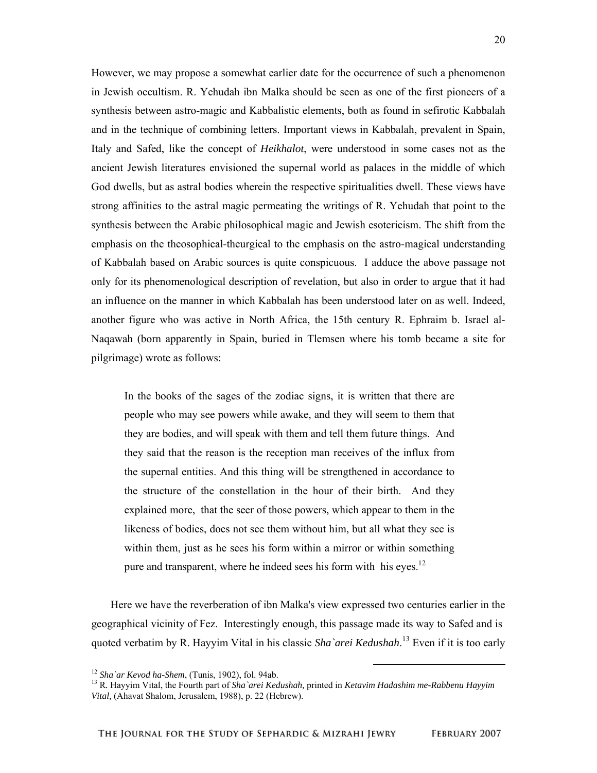However, we may propose a somewhat earlier date for the occurrence of such a phenomenon in Jewish occultism. R. Yehudah ibn Malka should be seen as one of the first pioneers of a synthesis between astro-magic and Kabbalistic elements, both as found in sefirotic Kabbalah and in the technique of combining letters. Important views in Kabbalah, prevalent in Spain, Italy and Safed, like the concept of *Heikhalot*, were understood in some cases not as the ancient Jewish literatures envisioned the supernal world as palaces in the middle of which God dwells, but as astral bodies wherein the respective spiritualities dwell. These views have strong affinities to the astral magic permeating the writings of R. Yehudah that point to the synthesis between the Arabic philosophical magic and Jewish esotericism. The shift from the emphasis on the theosophical-theurgical to the emphasis on the astro-magical understanding of Kabbalah based on Arabic sources is quite conspicuous. I adduce the above passage not only for its phenomenological description of revelation, but also in order to argue that it had an influence on the manner in which Kabbalah has been understood later on as well. Indeed, another figure who was active in North Africa, the 15th century R. Ephraim b. Israel al-Naqawah (born apparently in Spain, buried in Tlemsen where his tomb became a site for pilgrimage) wrote as follows:

In the books of the sages of the zodiac signs, it is written that there are people who may see powers while awake, and they will seem to them that they are bodies, and will speak with them and tell them future things. And they said that the reason is the reception man receives of the influx from the supernal entities. And this thing will be strengthened in accordance to the structure of the constellation in the hour of their birth. And they explained more, that the seer of those powers, which appear to them in the likeness of bodies, does not see them without him, but all what they see is within them, just as he sees his form within a mirror or within something pure and transparent, where he indeed sees his form with his eyes.<sup>12</sup>

 Here we have the reverberation of ibn Malka's view expressed two centuries earlier in the geographical vicinity of Fez. Interestingly enough, this passage made its way to Safed and is quoted verbatim by R. Hayyim Vital in his classic *Sha`arei Kedushah*. 13 Even if it is too early

<sup>&</sup>lt;sup>12</sup> *Sha`ar Kevod ha-Shem*, (Tunis, 1902), fol. 94ab.<br><sup>13</sup> R. Hayyim Vital, the Fourth part of *Sha`arei Kedushah*, printed in *Ketavim Hadashim me-Rabbenu Hayyim Vital,* (Ahavat Shalom, Jerusalem, 1988), p. 22 (Hebrew).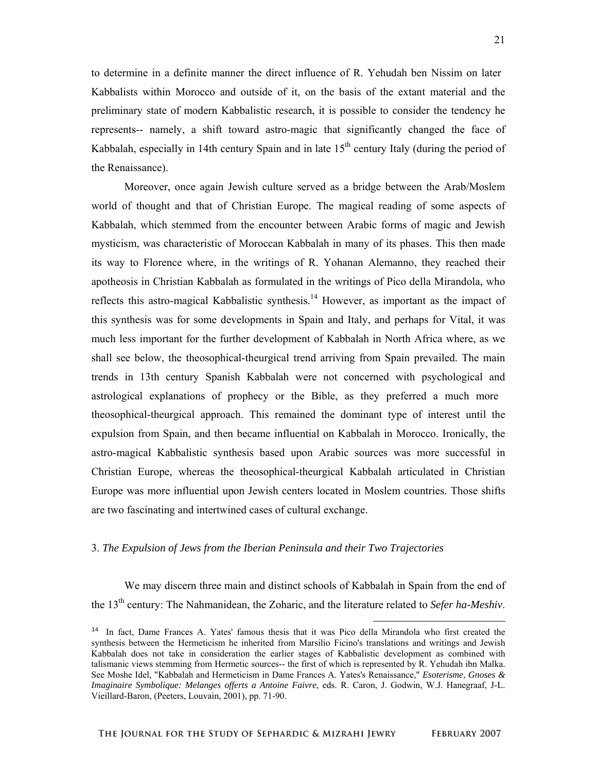to determine in a definite manner the direct influence of R. Yehudah ben Nissim on later Kabbalists within Morocco and outside of it, on the basis of the extant material and the preliminary state of modern Kabbalistic research, it is possible to consider the tendency he represents-- namely, a shift toward astro-magic that significantly changed the face of Kabbalah, especially in 14th century Spain and in late  $15<sup>th</sup>$  century Italy (during the period of the Renaissance).

Moreover, once again Jewish culture served as a bridge between the Arab/Moslem world of thought and that of Christian Europe. The magical reading of some aspects of Kabbalah, which stemmed from the encounter between Arabic forms of magic and Jewish mysticism, was characteristic of Moroccan Kabbalah in many of its phases. This then made its way to Florence where, in the writings of R. Yohanan Alemanno, they reached their apotheosis in Christian Kabbalah as formulated in the writings of Pico della Mirandola, who reflects this astro-magical Kabbalistic synthesis.<sup>14</sup> However, as important as the impact of this synthesis was for some developments in Spain and Italy, and perhaps for Vital, it was much less important for the further development of Kabbalah in North Africa where, as we shall see below, the theosophical-theurgical trend arriving from Spain prevailed. The main trends in 13th century Spanish Kabbalah were not concerned with psychological and astrological explanations of prophecy or the Bible, as they preferred a much more theosophical-theurgical approach. This remained the dominant type of interest until the expulsion from Spain, and then became influential on Kabbalah in Morocco. Ironically, the astro-magical Kabbalistic synthesis based upon Arabic sources was more successful in Christian Europe, whereas the theosophical-theurgical Kabbalah articulated in Christian Europe was more influential upon Jewish centers located in Moslem countries. Those shifts are two fascinating and intertwined cases of cultural exchange.

## 3. *The Expulsion of Jews from the Iberian Peninsula and their Two Trajectories*

We may discern three main and distinct schools of Kabbalah in Spain from the end of the 13th century: The Nahmanidean, the Zoharic, and the literature related to *Sefer ha-Meshiv*.

-

<sup>&</sup>lt;sup>14</sup> In fact, Dame Frances A. Yates' famous thesis that it was Pico della Mirandola who first created the synthesis between the Hermeticism he inherited from Marsilio Ficino's translations and writings and Jewish Kabbalah does not take in consideration the earlier stages of Kabbalistic development as combined with talismanic views stemming from Hermetic sources-- the first of which is represented by R. Yehudah ibn Malka. See Moshe Idel, "Kabbalah and Hermeticism in Dame Frances A. Yates's Renaissance," *Esoterisme, Gnoses & Imaginaire Symbolique: Melanges offerts a Antoine Faivre*, eds. R. Caron, J. Godwin, W.J. Hanegraaf, J-L. Vieillard-Baron, (Peeters, Louvain, 2001), pp. 71-90.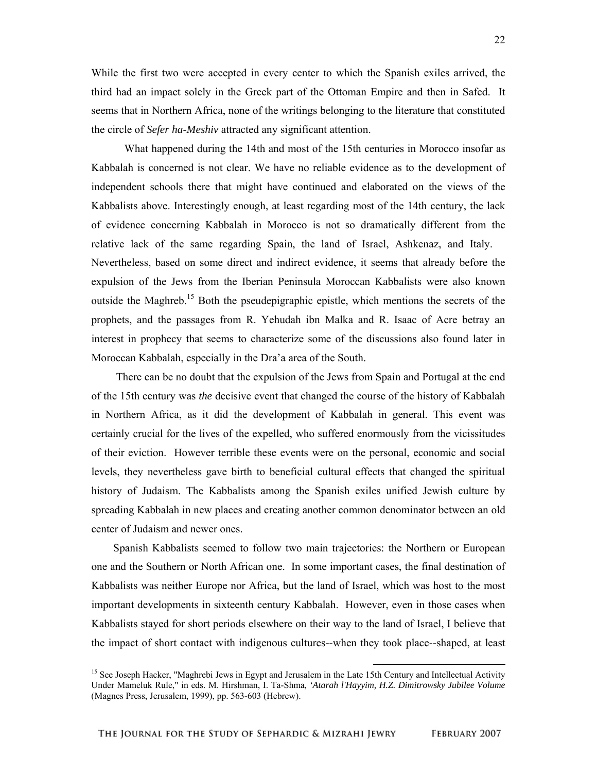While the first two were accepted in every center to which the Spanish exiles arrived, the third had an impact solely in the Greek part of the Ottoman Empire and then in Safed. It seems that in Northern Africa, none of the writings belonging to the literature that constituted the circle of *Sefer ha-Meshiv* attracted any significant attention.

What happened during the 14th and most of the 15th centuries in Morocco insofar as Kabbalah is concerned is not clear. We have no reliable evidence as to the development of independent schools there that might have continued and elaborated on the views of the Kabbalists above. Interestingly enough, at least regarding most of the 14th century, the lack of evidence concerning Kabbalah in Morocco is not so dramatically different from the relative lack of the same regarding Spain, the land of Israel, Ashkenaz, and Italy. Nevertheless, based on some direct and indirect evidence, it seems that already before the expulsion of the Jews from the Iberian Peninsula Moroccan Kabbalists were also known outside the Maghreb.<sup>15</sup> Both the pseudepigraphic epistle, which mentions the secrets of the prophets, and the passages from R. Yehudah ibn Malka and R. Isaac of Acre betray an interest in prophecy that seems to characterize some of the discussions also found later in Moroccan Kabbalah, especially in the Dra'a area of the South.

 There can be no doubt that the expulsion of the Jews from Spain and Portugal at the end of the 15th century was *the* decisive event that changed the course of the history of Kabbalah in Northern Africa, as it did the development of Kabbalah in general. This event was certainly crucial for the lives of the expelled, who suffered enormously from the vicissitudes of their eviction. However terrible these events were on the personal, economic and social levels, they nevertheless gave birth to beneficial cultural effects that changed the spiritual history of Judaism. The Kabbalists among the Spanish exiles unified Jewish culture by spreading Kabbalah in new places and creating another common denominator between an old center of Judaism and newer ones.

 Spanish Kabbalists seemed to follow two main trajectories: the Northern or European one and the Southern or North African one. In some important cases, the final destination of Kabbalists was neither Europe nor Africa, but the land of Israel, which was host to the most important developments in sixteenth century Kabbalah. However, even in those cases when Kabbalists stayed for short periods elsewhere on their way to the land of Israel, I believe that the impact of short contact with indigenous cultures--when they took place--shaped, at least

<sup>&</sup>lt;sup>15</sup> See Joseph Hacker, "Maghrebi Jews in Egypt and Jerusalem in the Late 15th Century and Intellectual Activity Under Mameluk Rule," in eds. M. Hirshman, I. Ta-Shma*, 'Atarah l'Hayyim, H.Z. Dimitrowsky Jubilee Volume* (Magnes Press, Jerusalem, 1999), pp. 563-603 (Hebrew).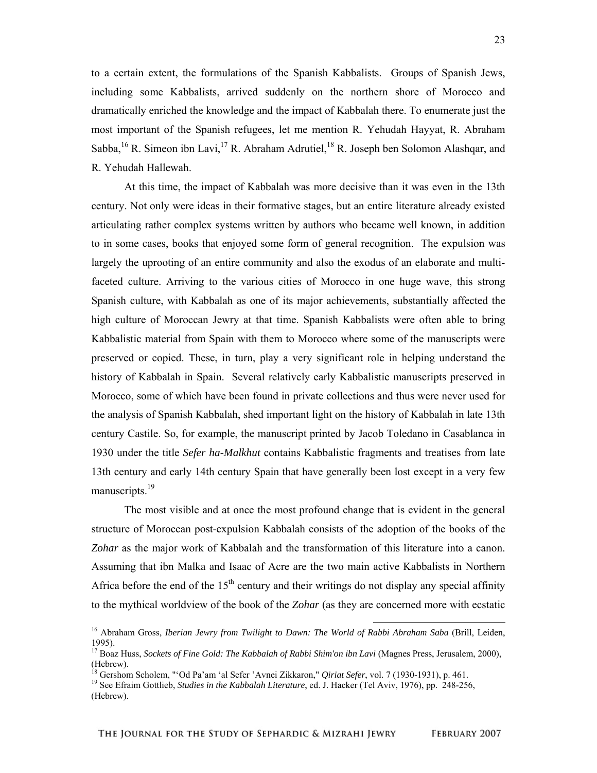23

to a certain extent, the formulations of the Spanish Kabbalists. Groups of Spanish Jews, including some Kabbalists, arrived suddenly on the northern shore of Morocco and dramatically enriched the knowledge and the impact of Kabbalah there. To enumerate just the most important of the Spanish refugees, let me mention R. Yehudah Hayyat, R. Abraham Sabba, <sup>16</sup> R. Simeon ibn Lavi, <sup>17</sup> R. Abraham Adrutiel, <sup>18</sup> R. Joseph ben Solomon Alashqar, and R. Yehudah Hallewah.

At this time, the impact of Kabbalah was more decisive than it was even in the 13th century. Not only were ideas in their formative stages, but an entire literature already existed articulating rather complex systems written by authors who became well known, in addition to in some cases, books that enjoyed some form of general recognition. The expulsion was largely the uprooting of an entire community and also the exodus of an elaborate and multifaceted culture. Arriving to the various cities of Morocco in one huge wave, this strong Spanish culture, with Kabbalah as one of its major achievements, substantially affected the high culture of Moroccan Jewry at that time. Spanish Kabbalists were often able to bring Kabbalistic material from Spain with them to Morocco where some of the manuscripts were preserved or copied. These, in turn, play a very significant role in helping understand the history of Kabbalah in Spain. Several relatively early Kabbalistic manuscripts preserved in Morocco, some of which have been found in private collections and thus were never used for the analysis of Spanish Kabbalah, shed important light on the history of Kabbalah in late 13th century Castile. So, for example, the manuscript printed by Jacob Toledano in Casablanca in 1930 under the title *Sefer ha-Malkhut* contains Kabbalistic fragments and treatises from late 13th century and early 14th century Spain that have generally been lost except in a very few manuscripts.<sup>19</sup>

The most visible and at once the most profound change that is evident in the general structure of Moroccan post-expulsion Kabbalah consists of the adoption of the books of the *Zohar* as the major work of Kabbalah and the transformation of this literature into a canon. Assuming that ibn Malka and Isaac of Acre are the two main active Kabbalists in Northern Africa before the end of the  $15<sup>th</sup>$  century and their writings do not display any special affinity to the mythical worldview of the book of the *Zohar* (as they are concerned more with ecstatic

 <sup>16</sup> Abraham Gross, *Iberian Jewry from Twilight to Dawn: The World of Rabbi Abraham Saba* (Brill, Leiden, 1995).

<sup>&</sup>lt;sup>17</sup> Boaz Huss, *Sockets of Fine Gold: The Kabbalah of Rabbi Shim'on ibn Lavi* (Magnes Press, Jerusalem, 2000), (Hebrew).<br><sup>18</sup> Gershom Scholem, "'Od Pa'am 'al Sefer 'Avnei Zikkaron," *Qiriat Sefer*, vol. 7 (1930-1931), p. 461.

<sup>&</sup>lt;sup>19</sup> See Efraim Gottlieb, *Studies in the Kabbalah Literature*, ed. J. Hacker (Tel Aviv, 1976), pp. 248-256, (Hebrew).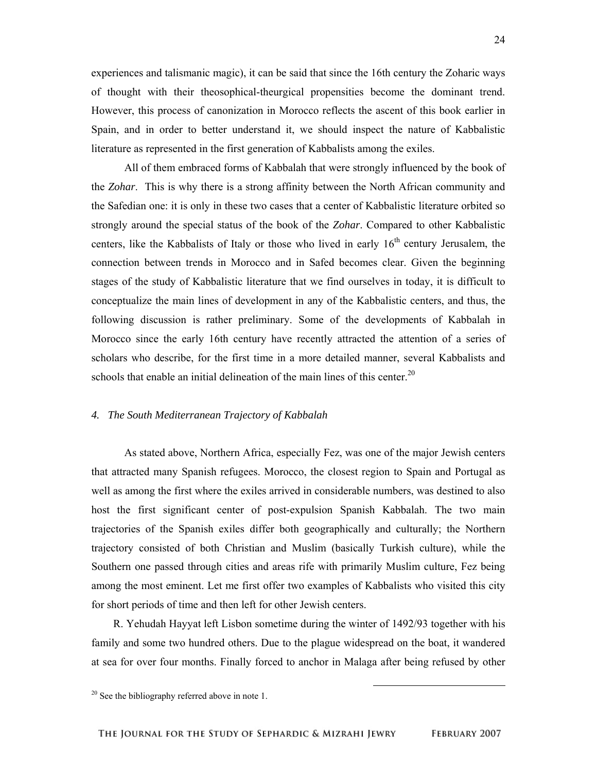experiences and talismanic magic), it can be said that since the 16th century the Zoharic ways of thought with their theosophical-theurgical propensities become the dominant trend. However, this process of canonization in Morocco reflects the ascent of this book earlier in Spain, and in order to better understand it, we should inspect the nature of Kabbalistic literature as represented in the first generation of Kabbalists among the exiles.

All of them embraced forms of Kabbalah that were strongly influenced by the book of the *Zohar*. This is why there is a strong affinity between the North African community and the Safedian one: it is only in these two cases that a center of Kabbalistic literature orbited so strongly around the special status of the book of the *Zohar*. Compared to other Kabbalistic centers, like the Kabbalists of Italy or those who lived in early  $16<sup>th</sup>$  century Jerusalem, the connection between trends in Morocco and in Safed becomes clear. Given the beginning stages of the study of Kabbalistic literature that we find ourselves in today, it is difficult to conceptualize the main lines of development in any of the Kabbalistic centers, and thus, the following discussion is rather preliminary. Some of the developments of Kabbalah in Morocco since the early 16th century have recently attracted the attention of a series of scholars who describe, for the first time in a more detailed manner, several Kabbalists and schools that enable an initial delineation of the main lines of this center.<sup>20</sup>

### *4. The South Mediterranean Trajectory of Kabbalah*

As stated above, Northern Africa, especially Fez, was one of the major Jewish centers that attracted many Spanish refugees. Morocco, the closest region to Spain and Portugal as well as among the first where the exiles arrived in considerable numbers, was destined to also host the first significant center of post-expulsion Spanish Kabbalah. The two main trajectories of the Spanish exiles differ both geographically and culturally; the Northern trajectory consisted of both Christian and Muslim (basically Turkish culture), while the Southern one passed through cities and areas rife with primarily Muslim culture, Fez being among the most eminent. Let me first offer two examples of Kabbalists who visited this city for short periods of time and then left for other Jewish centers.

 R. Yehudah Hayyat left Lisbon sometime during the winter of 1492/93 together with his family and some two hundred others. Due to the plague widespread on the boat, it wandered at sea for over four months. Finally forced to anchor in Malaga after being refused by other

 $20$  See the bibliography referred above in note 1.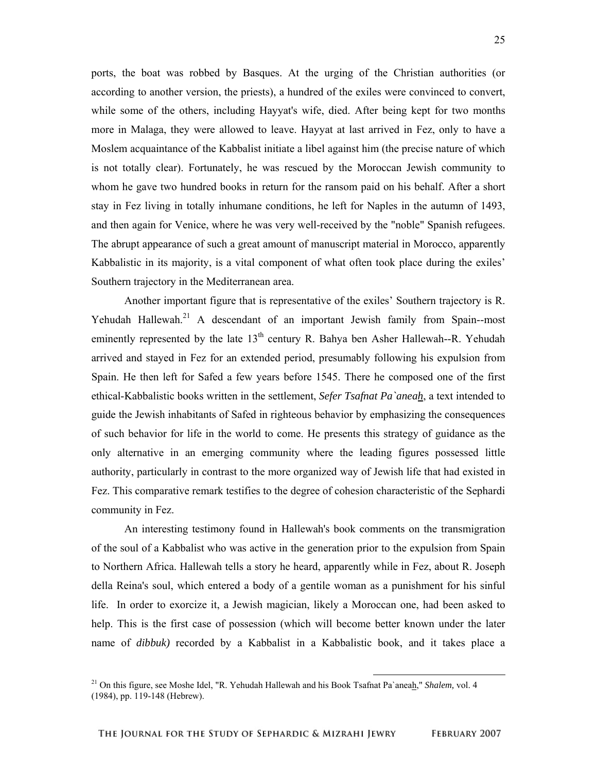ports, the boat was robbed by Basques. At the urging of the Christian authorities (or according to another version, the priests), a hundred of the exiles were convinced to convert, while some of the others, including Hayyat's wife, died. After being kept for two months more in Malaga, they were allowed to leave. Hayyat at last arrived in Fez, only to have a Moslem acquaintance of the Kabbalist initiate a libel against him (the precise nature of which is not totally clear). Fortunately, he was rescued by the Moroccan Jewish community to whom he gave two hundred books in return for the ransom paid on his behalf. After a short stay in Fez living in totally inhumane conditions, he left for Naples in the autumn of 1493, and then again for Venice, where he was very well-received by the "noble" Spanish refugees. The abrupt appearance of such a great amount of manuscript material in Morocco, apparently Kabbalistic in its majority, is a vital component of what often took place during the exiles' Southern trajectory in the Mediterranean area.

Another important figure that is representative of the exiles' Southern trajectory is R. Yehudah Hallewah.<sup>21</sup> A descendant of an important Jewish family from Spain--most eminently represented by the late  $13<sup>th</sup>$  century R. Bahya ben Asher Hallewah--R. Yehudah arrived and stayed in Fez for an extended period, presumably following his expulsion from Spain. He then left for Safed a few years before 1545. There he composed one of the first ethical-Kabbalistic books written in the settlement, *Sefer Tsafnat Pa`aneah*, a text intended to guide the Jewish inhabitants of Safed in righteous behavior by emphasizing the consequences of such behavior for life in the world to come. He presents this strategy of guidance as the only alternative in an emerging community where the leading figures possessed little authority, particularly in contrast to the more organized way of Jewish life that had existed in Fez. This comparative remark testifies to the degree of cohesion characteristic of the Sephardi community in Fez.

An interesting testimony found in Hallewah's book comments on the transmigration of the soul of a Kabbalist who was active in the generation prior to the expulsion from Spain to Northern Africa. Hallewah tells a story he heard, apparently while in Fez, about R. Joseph della Reina's soul, which entered a body of a gentile woman as a punishment for his sinful life. In order to exorcize it, a Jewish magician, likely a Moroccan one, had been asked to help. This is the first case of possession (which will become better known under the later name of *dibbuk*) recorded by a Kabbalist in a Kabbalistic book, and it takes place a

 <sup>21</sup> On this figure, see Moshe Idel, "R. Yehudah Hallewah and his Book Tsafnat Pa`aneah," *Shalem,* vol. 4 (1984), pp. 119-148 (Hebrew).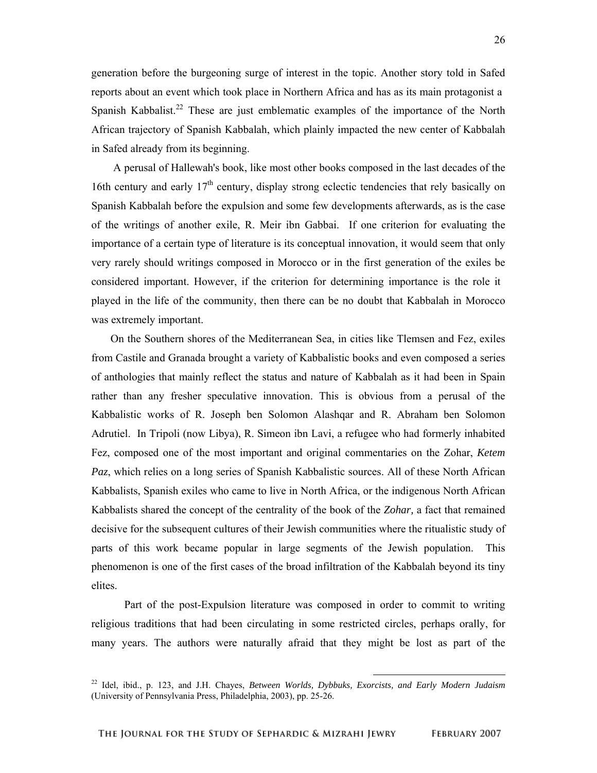generation before the burgeoning surge of interest in the topic. Another story told in Safed reports about an event which took place in Northern Africa and has as its main protagonist a Spanish Kabbalist.<sup>22</sup> These are just emblematic examples of the importance of the North African trajectory of Spanish Kabbalah, which plainly impacted the new center of Kabbalah in Safed already from its beginning.

 A perusal of Hallewah's book, like most other books composed in the last decades of the 16th century and early  $17<sup>th</sup>$  century, display strong eclectic tendencies that rely basically on Spanish Kabbalah before the expulsion and some few developments afterwards, as is the case of the writings of another exile, R. Meir ibn Gabbai. If one criterion for evaluating the importance of a certain type of literature is its conceptual innovation, it would seem that only very rarely should writings composed in Morocco or in the first generation of the exiles be considered important. However, if the criterion for determining importance is the role it played in the life of the community, then there can be no doubt that Kabbalah in Morocco was extremely important.

 On the Southern shores of the Mediterranean Sea, in cities like Tlemsen and Fez, exiles from Castile and Granada brought a variety of Kabbalistic books and even composed a series of anthologies that mainly reflect the status and nature of Kabbalah as it had been in Spain rather than any fresher speculative innovation. This is obvious from a perusal of the Kabbalistic works of R. Joseph ben Solomon Alashqar and R. Abraham ben Solomon Adrutiel. In Tripoli (now Libya), R. Simeon ibn Lavi, a refugee who had formerly inhabited Fez, composed one of the most important and original commentaries on the Zohar, *Ketem Paz*, which relies on a long series of Spanish Kabbalistic sources. All of these North African Kabbalists, Spanish exiles who came to live in North Africa, or the indigenous North African Kabbalists shared the concept of the centrality of the book of the *Zohar,* a fact that remained decisive for the subsequent cultures of their Jewish communities where the ritualistic study of parts of this work became popular in large segments of the Jewish population. This phenomenon is one of the first cases of the broad infiltration of the Kabbalah beyond its tiny elites.

Part of the post-Expulsion literature was composed in order to commit to writing religious traditions that had been circulating in some restricted circles, perhaps orally, for many years. The authors were naturally afraid that they might be lost as part of the

 <sup>22</sup> Idel, ibid., p. 123, and J.H. Chayes, *Between Worlds, Dybbuks, Exorcists, and Early Modern Judaism* (University of Pennsylvania Press, Philadelphia, 2003), pp. 25-26.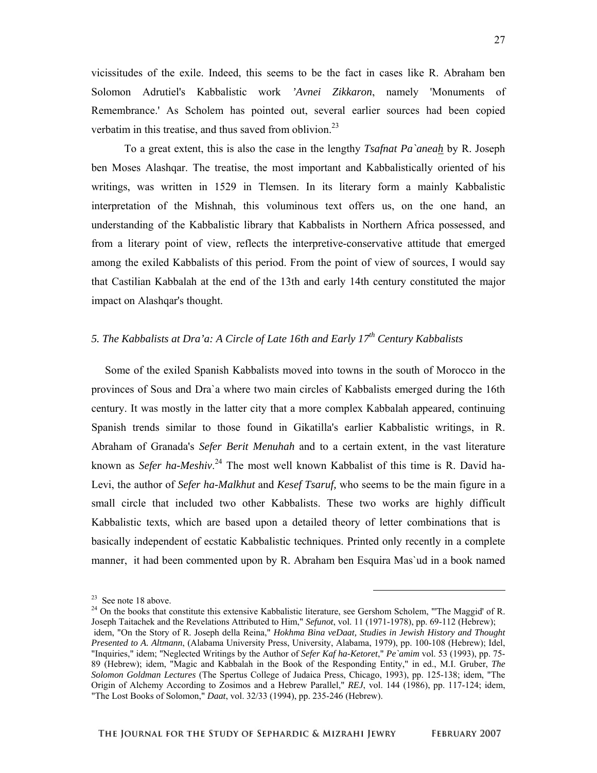vicissitudes of the exile. Indeed, this seems to be the fact in cases like R. Abraham ben Solomon Adrutiel's Kabbalistic work *'Avnei Zikkaron*, namely 'Monuments of Remembrance.' As Scholem has pointed out, several earlier sources had been copied verbatim in this treatise, and thus saved from oblivion. $^{23}$ 

To a great extent, this is also the case in the lengthy *Tsafnat Pa`aneah* by R. Joseph ben Moses Alashqar. The treatise, the most important and Kabbalistically oriented of his writings, was written in 1529 in Tlemsen. In its literary form a mainly Kabbalistic interpretation of the Mishnah, this voluminous text offers us, on the one hand, an understanding of the Kabbalistic library that Kabbalists in Northern Africa possessed, and from a literary point of view, reflects the interpretive-conservative attitude that emerged among the exiled Kabbalists of this period. From the point of view of sources, I would say that Castilian Kabbalah at the end of the 13th and early 14th century constituted the major impact on Alashqar's thought.

# *5. The Kabbalists at Dra'a: A Circle of Late 16th and Early 17th Century Kabbalists*

 Some of the exiled Spanish Kabbalists moved into towns in the south of Morocco in the provinces of Sous and Dra`a where two main circles of Kabbalists emerged during the 16th century. It was mostly in the latter city that a more complex Kabbalah appeared, continuing Spanish trends similar to those found in Gikatilla's earlier Kabbalistic writings, in R. Abraham of Granada's *Sefer Berit Menuhah* and to a certain extent, in the vast literature known as *Sefer ha-Meshiv*. 24 The most well known Kabbalist of this time is R. David ha-Levi, the author of *Sefer ha-Malkhut* and *Kesef Tsaruf,* who seems to be the main figure in a small circle that included two other Kabbalists. These two works are highly difficult Kabbalistic texts, which are based upon a detailed theory of letter combinations that is basically independent of ecstatic Kabbalistic techniques. Printed only recently in a complete manner, it had been commented upon by R. Abraham ben Esquira Mas`ud in a book named

 <sup>23</sup> See note 18 above.

 $^{24}$  On the books that constitute this extensive Kabbalistic literature, see Gershom Scholem, "The Maggid' of R. Joseph Taitachek and the Revelations Attributed to Him," *Sefunot*, vol. 11 (1971-1978), pp. 69-112 (Hebrew); idem, "On the Story of R. Joseph della Reina," *Hokhma Bina veDaat, Studies in Jewish History and Thought Presented to A. Altmann*, (Alabama University Press, University, Alabama, 1979), pp. 100-108 (Hebrew); Idel, "Inquiries," idem; "Neglected Writings by the Author of *Sefer Kaf ha-Ketoret*," *Pe`amim* vol. 53 (1993), pp. 75- 89 (Hebrew); idem, "Magic and Kabbalah in the Book of the Responding Entity," in ed., M.I. Gruber, *The Solomon Goldman Lectures* (The Spertus College of Judaica Press, Chicago, 1993), pp. 125-138; idem, "The Origin of Alchemy According to Zosimos and a Hebrew Parallel," *REJ*, vol. 144 (1986), pp. 117-124; idem, "The Lost Books of Solomon," *Daat*, vol. 32/33 (1994), pp. 235-246 (Hebrew).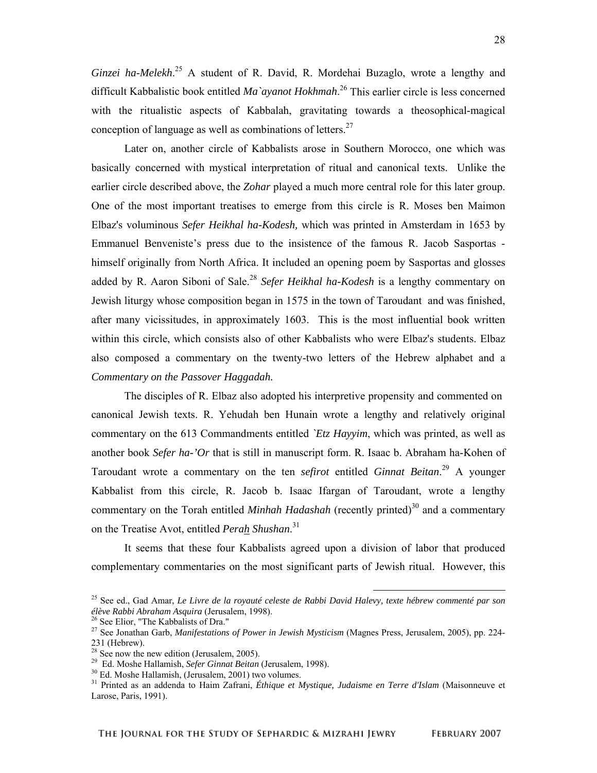Ginzei ha-Melekh.<sup>25</sup> A student of R. David, R. Mordehai Buzaglo, wrote a lengthy and difficult Kabbalistic book entitled *Ma`ayanot Hokhmah*. 26 This earlier circle is less concerned with the ritualistic aspects of Kabbalah, gravitating towards a theosophical-magical conception of language as well as combinations of letters. $27$ 

Later on, another circle of Kabbalists arose in Southern Morocco, one which was basically concerned with mystical interpretation of ritual and canonical texts. Unlike the earlier circle described above, the *Zohar* played a much more central role for this later group. One of the most important treatises to emerge from this circle is R. Moses ben Maimon Elbaz's voluminous *Sefer Heikhal ha-Kodesh,* which was printed in Amsterdam in 1653 by Emmanuel Benveniste's press due to the insistence of the famous R. Jacob Sasportas himself originally from North Africa. It included an opening poem by Sasportas and glosses added by R. Aaron Siboni of Sale.<sup>28</sup> *Sefer Heikhal ha-Kodesh* is a lengthy commentary on Jewish liturgy whose composition began in 1575 in the town of Taroudant and was finished, after many vicissitudes, in approximately 1603. This is the most influential book written within this circle, which consists also of other Kabbalists who were Elbaz's students. Elbaz also composed a commentary on the twenty-two letters of the Hebrew alphabet and a *Commentary on the Passover Haggadah.*

The disciples of R. Elbaz also adopted his interpretive propensity and commented on canonical Jewish texts. R. Yehudah ben Hunain wrote a lengthy and relatively original commentary on the 613 Commandments entitled *`Etz Hayyim*, which was printed, as well as another book *Sefer ha-'Or* that is still in manuscript form. R. Isaac b. Abraham ha-Kohen of Taroudant wrote a commentary on the ten *sefirot* entitled *Ginnat Beitan*. 29 A younger Kabbalist from this circle, R. Jacob b. Isaac Ifargan of Taroudant, wrote a lengthy commentary on the Torah entitled *Minhah Hadashah* (recently printed)<sup>30</sup> and a commentary on the Treatise Avot, entitled *Perah Shushan*. 31

It seems that these four Kabbalists agreed upon a division of labor that produced complementary commentaries on the most significant parts of Jewish ritual. However, this

<sup>&</sup>lt;sup>25</sup> See ed., Gad Amar, *Le Livre de la royauté celeste de Rabbi David Halevy, texte hébrew commenté par son élève Rabbi Abraham Asquira (Jerusalem, 1998).* 

<sup>&</sup>lt;sup>26</sup> See Elior, "The Kabbalists of Dra."<br><sup>27</sup> See Jonathan Garb, *Manifestations of Power in Jewish Mysticism* (Magnes Press, Jerusalem, 2005), pp. 224-231 (Hebrew).

 $28$  See now the new edition (Jerusalem, 2005).

<sup>&</sup>lt;sup>29</sup> Ed. Moshe Hallamish, *Sefer Ginnat Beitan* (Jerusalem, 1998).<br><sup>30</sup> Ed. Moshe Hallamish, (Jerusalem, 2001) two volumes.

<sup>31</sup> Printed as an addenda to Haim Zafrani, *Éthique et Mystique, Judaisme en Terre d'Islam* (Maisonneuve et Larose, Paris, 1991).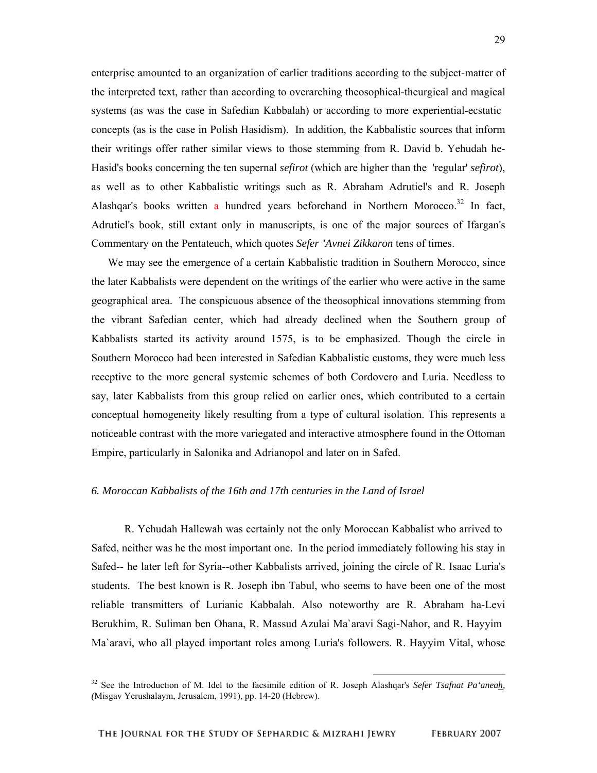enterprise amounted to an organization of earlier traditions according to the subject-matter of the interpreted text, rather than according to overarching theosophical-theurgical and magical systems (as was the case in Safedian Kabbalah) or according to more experiential-ecstatic concepts (as is the case in Polish Hasidism). In addition, the Kabbalistic sources that inform their writings offer rather similar views to those stemming from R. David b. Yehudah he-Hasid's books concerning the ten supernal *sefirot* (which are higher than the 'regular' *sefirot*), as well as to other Kabbalistic writings such as R. Abraham Adrutiel's and R. Joseph Alashqar's books written a hundred years beforehand in Northern Morocco.<sup>32</sup> In fact, Adrutiel's book, still extant only in manuscripts, is one of the major sources of Ifargan's Commentary on the Pentateuch, which quotes *Sefer 'Avnei Zikkaron* tens of times.

 We may see the emergence of a certain Kabbalistic tradition in Southern Morocco, since the later Kabbalists were dependent on the writings of the earlier who were active in the same geographical area. The conspicuous absence of the theosophical innovations stemming from the vibrant Safedian center, which had already declined when the Southern group of Kabbalists started its activity around 1575, is to be emphasized. Though the circle in Southern Morocco had been interested in Safedian Kabbalistic customs, they were much less receptive to the more general systemic schemes of both Cordovero and Luria. Needless to say, later Kabbalists from this group relied on earlier ones, which contributed to a certain conceptual homogeneity likely resulting from a type of cultural isolation. This represents a noticeable contrast with the more variegated and interactive atmosphere found in the Ottoman Empire, particularly in Salonika and Adrianopol and later on in Safed.

#### *6. Moroccan Kabbalists of the 16th and 17th centuries in the Land of Israel*

R. Yehudah Hallewah was certainly not the only Moroccan Kabbalist who arrived to Safed, neither was he the most important one. In the period immediately following his stay in Safed-- he later left for Syria--other Kabbalists arrived, joining the circle of R. Isaac Luria's students. The best known is R. Joseph ibn Tabul, who seems to have been one of the most reliable transmitters of Lurianic Kabbalah. Also noteworthy are R. Abraham ha-Levi Berukhim, R. Suliman ben Ohana, R. Massud Azulai Ma`aravi Sagi-Nahor, and R. Hayyim Ma`aravi, who all played important roles among Luria's followers. R. Hayyim Vital, whose

 <sup>32</sup> See the Introduction of M. Idel to the facsimile edition of R. Joseph Alashqar's *Sefer Tsafnat Pa'aneah, (*Misgav Yerushalaym, Jerusalem, 1991), pp. 14-20 (Hebrew).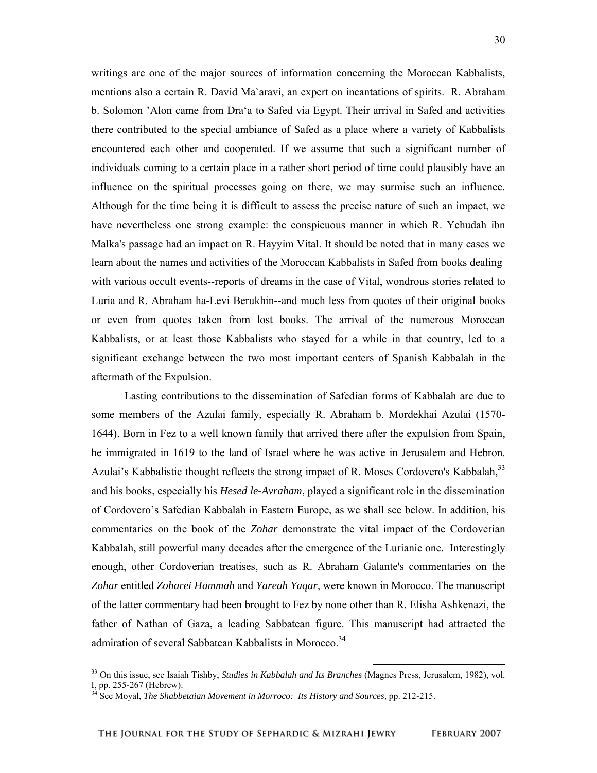writings are one of the major sources of information concerning the Moroccan Kabbalists, mentions also a certain R. David Ma`aravi, an expert on incantations of spirits. R. Abraham b. Solomon 'Alon came from Dra'a to Safed via Egypt. Their arrival in Safed and activities there contributed to the special ambiance of Safed as a place where a variety of Kabbalists encountered each other and cooperated. If we assume that such a significant number of individuals coming to a certain place in a rather short period of time could plausibly have an influence on the spiritual processes going on there, we may surmise such an influence. Although for the time being it is difficult to assess the precise nature of such an impact, we have nevertheless one strong example: the conspicuous manner in which R. Yehudah ibn Malka's passage had an impact on R. Hayyim Vital. It should be noted that in many cases we learn about the names and activities of the Moroccan Kabbalists in Safed from books dealing with various occult events--reports of dreams in the case of Vital, wondrous stories related to Luria and R. Abraham ha-Levi Berukhin--and much less from quotes of their original books or even from quotes taken from lost books. The arrival of the numerous Moroccan Kabbalists, or at least those Kabbalists who stayed for a while in that country, led to a significant exchange between the two most important centers of Spanish Kabbalah in the aftermath of the Expulsion.

Lasting contributions to the dissemination of Safedian forms of Kabbalah are due to some members of the Azulai family, especially R. Abraham b. Mordekhai Azulai (1570- 1644). Born in Fez to a well known family that arrived there after the expulsion from Spain, he immigrated in 1619 to the land of Israel where he was active in Jerusalem and Hebron. Azulai's Kabbalistic thought reflects the strong impact of R. Moses Cordovero's Kabbalah,<sup>33</sup> and his books, especially his *Hesed le-Avraham*, played a significant role in the dissemination of Cordovero's Safedian Kabbalah in Eastern Europe, as we shall see below. In addition, his commentaries on the book of the *Zohar* demonstrate the vital impact of the Cordoverian Kabbalah, still powerful many decades after the emergence of the Lurianic one. Interestingly enough, other Cordoverian treatises, such as R. Abraham Galante's commentaries on the *Zohar* entitled *Zoharei Hammah* and *Yareah Yaqar*, were known in Morocco. The manuscript of the latter commentary had been brought to Fez by none other than R. Elisha Ashkenazi, the father of Nathan of Gaza, a leading Sabbatean figure. This manuscript had attracted the admiration of several Sabbatean Kabbalists in Morocco.<sup>34</sup>

 <sup>33</sup> On this issue, see Isaiah Tishby, *Studies in Kabbalah and Its Branches* (Magnes Press, Jerusalem, 1982), vol. I, pp. 255-267 (Hebrew).

<sup>&</sup>lt;sup>34</sup> See Moyal, *The Shabbetaian Movement in Morroco: Its History and Sources, pp. 212-215.*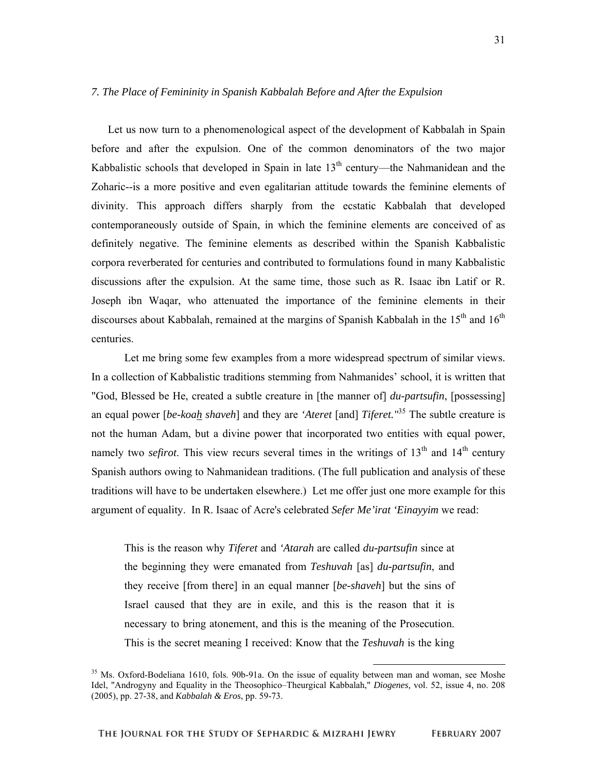## *7. The Place of Femininity in Spanish Kabbalah Before and After the Expulsion*

 Let us now turn to a phenomenological aspect of the development of Kabbalah in Spain before and after the expulsion. One of the common denominators of the two major Kabbalistic schools that developed in Spain in late  $13<sup>th</sup>$  century—the Nahmanidean and the Zoharic--is a more positive and even egalitarian attitude towards the feminine elements of divinity. This approach differs sharply from the ecstatic Kabbalah that developed contemporaneously outside of Spain, in which the feminine elements are conceived of as definitely negative. The feminine elements as described within the Spanish Kabbalistic corpora reverberated for centuries and contributed to formulations found in many Kabbalistic discussions after the expulsion. At the same time, those such as R. Isaac ibn Latif or R. Joseph ibn Waqar, who attenuated the importance of the feminine elements in their discourses about Kabbalah, remained at the margins of Spanish Kabbalah in the  $15<sup>th</sup>$  and  $16<sup>th</sup>$ centuries.

Let me bring some few examples from a more widespread spectrum of similar views. In a collection of Kabbalistic traditions stemming from Nahmanides' school, it is written that "God, Blessed be He, created a subtle creature in [the manner of] *du-partsufin*, [possessing] an equal power [*be-koah shaveh*] and they are *'Ateret* [and] *Tiferet."*<sup>35</sup> The subtle creature is not the human Adam, but a divine power that incorporated two entities with equal power, namely two *sefirot*. This view recurs several times in the writings of  $13<sup>th</sup>$  and  $14<sup>th</sup>$  century Spanish authors owing to Nahmanidean traditions. (The full publication and analysis of these traditions will have to be undertaken elsewhere.) Let me offer just one more example for this argument of equality. In R. Isaac of Acre's celebrated *Sefer Me'irat 'Einayyim* we read:

This is the reason why *Tiferet* and *'Atarah* are called *du-partsufin* since at the beginning they were emanated from *Teshuvah* [as] *du-partsufin*, and they receive [from there] in an equal manner [*be-shaveh*] but the sins of Israel caused that they are in exile, and this is the reason that it is necessary to bring atonement, and this is the meaning of the Prosecution. This is the secret meaning I received: Know that the *Teshuvah* is the king

<sup>&</sup>lt;sup>35</sup> Ms. Oxford-Bodeliana 1610, fols. 90b-91a. On the issue of equality between man and woman, see Moshe Idel, "Androgyny and Equality in the Theosophico–Theurgical Kabbalah," *Diogenes,* vol. 52, issue 4, no. 208 (2005), pp. 27-38, and *Kabbalah & Eros*, pp. 59-73.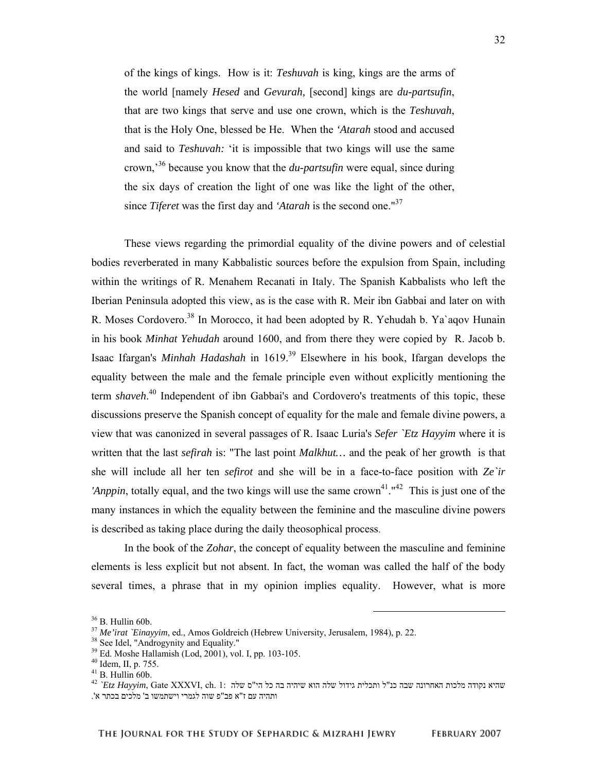of the kings of kings. How is it: *Teshuvah* is king, kings are the arms of the world [namely *Hesed* and *Gevurah,* [second] kings are *du-partsufin*, that are two kings that serve and use one crown, which is the *Teshuvah*, that is the Holy One, blessed be He. When the *'Atarah* stood and accused and said to *Teshuvah:* 'it is impossible that two kings will use the same crown,'36 because you know that the *du-partsufin* were equal, since during the six days of creation the light of one was like the light of the other, since *Tiferet* was the first day and *'Atarah* is the second one."37

These views regarding the primordial equality of the divine powers and of celestial bodies reverberated in many Kabbalistic sources before the expulsion from Spain, including within the writings of R. Menahem Recanati in Italy. The Spanish Kabbalists who left the Iberian Peninsula adopted this view, as is the case with R. Meir ibn Gabbai and later on with R. Moses Cordovero.<sup>38</sup> In Morocco, it had been adopted by R. Yehudah b. Ya`aqov Hunain in his book *Minhat Yehudah* around 1600, and from there they were copied by R. Jacob b. Isaac Ifargan's *Minhah Hadashah* in 1619.39 Elsewhere in his book, Ifargan develops the equality between the male and the female principle even without explicitly mentioning the term *shaveh*. 40 Independent of ibn Gabbai's and Cordovero's treatments of this topic, these discussions preserve the Spanish concept of equality for the male and female divine powers, a view that was canonized in several passages of R. Isaac Luria's *Sefer `Etz Hayyim* where it is written that the last *sefirah* is: "The last point *Malkhut…* and the peak of her growth is that she will include all her ten *sefirot* and she will be in a face-to-face position with *Ze`ir 'Anppin*, totally equal, and the two kings will use the same crown<sup>41</sup>."<sup>42</sup> This is just one of the many instances in which the equality between the feminine and the masculine divine powers is described as taking place during the daily theosophical process.

In the book of the *Zohar*, the concept of equality between the masculine and feminine elements is less explicit but not absent. In fact, the woman was called the half of the body several times, a phrase that in my opinion implies equality. However, what is more

 $36$  B. Hullin 60b.

 $37$  *Me'irat `Einayyim*, ed., Amos Goldreich (Hebrew University, Jerusalem, 1984), p. 22.  $38$  See Idel, "Androgynity and Equality."

 $39$  Ed. Moshe Hallamish (Lod, 2001), vol. I, pp. 103-105.

<sup>40</sup> Idem, II, p. 755.

 $41$  B. Hullin 60b.

 $^{42}$  `Etz Hayyim, Gate XXXVI, ch. 1: שהיא נקודה מלכות האחרונה שבה כנ"ל ותכלית גידול שלה האחרונה שלה ותהיה עם ז"א פב"פ שוה לגמרי וישתמשו ב' מלכים בכתר א' .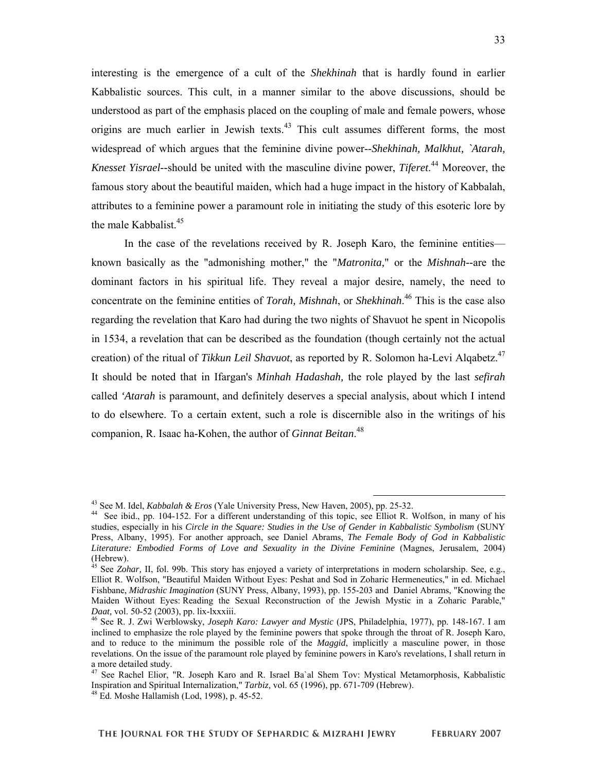interesting is the emergence of a cult of the *Shekhinah* that is hardly found in earlier Kabbalistic sources. This cult, in a manner similar to the above discussions, should be understood as part of the emphasis placed on the coupling of male and female powers, whose origins are much earlier in Jewish texts. $43$  This cult assumes different forms, the most widespread of which argues that the feminine divine power--*Shekhinah, Malkhut, `Atarah, Knesset Yisrael--*should be united with the masculine divine power, *Tiferet*. 44 Moreover, the famous story about the beautiful maiden, which had a huge impact in the history of Kabbalah, attributes to a feminine power a paramount role in initiating the study of this esoteric lore by the male Kabbalist.<sup>45</sup>

In the case of the revelations received by R. Joseph Karo, the feminine entities known basically as the "admonishing mother," the "*Matronita,*" or the *Mishnah--*are the dominant factors in his spiritual life. They reveal a major desire, namely, the need to concentrate on the feminine entities of *Torah, Mishnah*, or *Shekhinah*. 46 This is the case also regarding the revelation that Karo had during the two nights of Shavuot he spent in Nicopolis in 1534, a revelation that can be described as the foundation (though certainly not the actual creation) of the ritual of *Tikkun Leil Shavuot*, as reported by R. Solomon ha-Levi Alqabetz.<sup>47</sup> It should be noted that in Ifargan's *Minhah Hadashah,* the role played by the last *sefirah* called *'Atarah* is paramount, and definitely deserves a special analysis, about which I intend to do elsewhere. To a certain extent, such a role is discernible also in the writings of his companion, R. Isaac ha-Kohen, the author of *Ginnat Beitan*. 48

<sup>&</sup>lt;sup>43</sup> See M. Idel, *Kabbalah & Eros* (Yale University Press, New Haven, 2005), pp. 25-32.<br><sup>44</sup> See ibid., pp. 104-152. For a different understanding of this topic, see Elliot R. Wolfson, in many of his studies, especially in his *Circle in the Square: Studies in the Use of Gender in Kabbalistic Symbolism* (SUNY Press, Albany, 1995). For another approach, see Daniel Abrams, *The Female Body of God in Kabbalistic Literature: Embodied Forms of Love and Sexuality in the Divine Feminine* (Magnes, Jerusalem, 2004) (Hebrew).

 $5$  See *Zohar*, II, fol. 99b. This story has enjoyed a variety of interpretations in modern scholarship. See, e.g., Elliot R. Wolfson, "Beautiful Maiden Without Eyes: Peshat and Sod in Zoharic Hermeneutics," in ed. Michael Fishbane, *Midrashic Imagination* (SUNY Press, Albany, 1993), pp. 155-203 and Daniel Abrams, "Knowing the Maiden Without Eyes: Reading the Sexual Reconstruction of the Jewish Mystic in a Zoharic Parable," *Daat*, vol. 50-52 (2003), pp. lix-lxxxiii.

<sup>&</sup>lt;sup>46</sup> See R. J. Zwi Werblowsky, *Joseph Karo: Lawyer and Mystic* (JPS, Philadelphia, 1977), pp. 148-167. I am inclined to emphasize the role played by the feminine powers that spoke through the throat of R. Joseph Karo, and to reduce to the minimum the possible role of the *Maggid*, implicitly a masculine power, in those revelations. On the issue of the paramount role played by feminine powers in Karo's revelations, I shall return in a more detailed study.

<sup>&</sup>lt;sup>47</sup> See Rachel Elior, "R. Joseph Karo and R. Israel Ba`al Shem Tov: Mystical Metamorphosis, Kabbalistic Inspiration and Spiritual Internalization," *Tarbiz,* vol. 65 (1996), pp. 671-709 (Hebrew). 48 Ed. Moshe Hallamish (Lod, 1998), p. 45-52.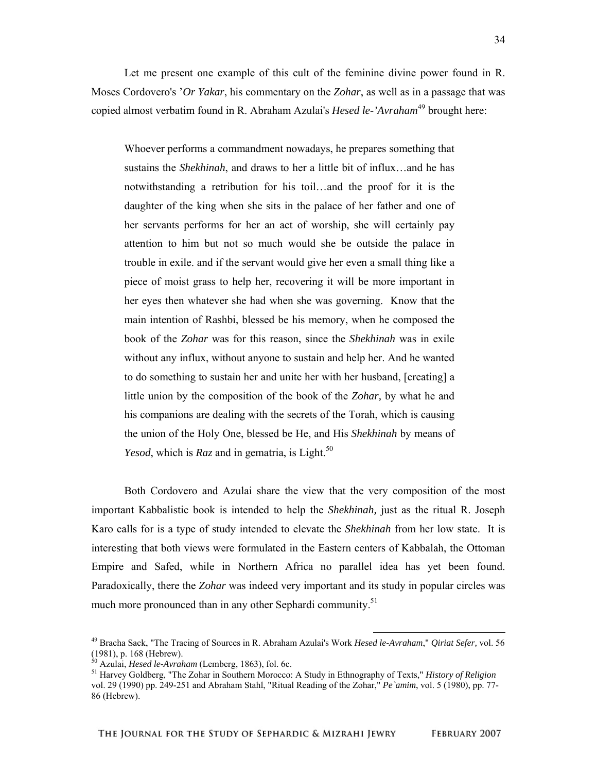Let me present one example of this cult of the feminine divine power found in R. Moses Cordovero's '*Or Yakar*, his commentary on the *Zohar*, as well as in a passage that was copied almost verbatim found in R. Abraham Azulai's *Hesed le-'Avraham*49 brought here:

Whoever performs a commandment nowadays, he prepares something that sustains the *Shekhinah*, and draws to her a little bit of influx…and he has notwithstanding a retribution for his toil…and the proof for it is the daughter of the king when she sits in the palace of her father and one of her servants performs for her an act of worship, she will certainly pay attention to him but not so much would she be outside the palace in trouble in exile. and if the servant would give her even a small thing like a piece of moist grass to help her, recovering it will be more important in her eyes then whatever she had when she was governing. Know that the main intention of Rashbi, blessed be his memory, when he composed the book of the *Zohar* was for this reason, since the *Shekhinah* was in exile without any influx, without anyone to sustain and help her. And he wanted to do something to sustain her and unite her with her husband, [creating] a little union by the composition of the book of the *Zohar,* by what he and his companions are dealing with the secrets of the Torah, which is causing the union of the Holy One, blessed be He, and His *Shekhinah* by means of *Yesod*, which is *Raz* and in gematria, is Light.<sup>50</sup>

Both Cordovero and Azulai share the view that the very composition of the most important Kabbalistic book is intended to help the *Shekhinah,* just as the ritual R. Joseph Karo calls for is a type of study intended to elevate the *Shekhinah* from her low state. It is interesting that both views were formulated in the Eastern centers of Kabbalah, the Ottoman Empire and Safed, while in Northern Africa no parallel idea has yet been found. Paradoxically, there the *Zohar* was indeed very important and its study in popular circles was much more pronounced than in any other Sephardi community.<sup>51</sup>

**FEBRUARY 2007** 

 <sup>49</sup> Bracha Sack, "The Tracing of Sources in R. Abraham Azulai's Work *Hesed le-Avraham*," *Qiriat Sefer,* vol. 56 (1981), p. 168 (Hebrew).<br> $^{50}$  Azulai, *Hesed le-Avraham* (Lemberg, 1863), fol. 6c.

<sup>&</sup>lt;sup>50</sup> Azulai, *Hesed le-Avraham* (Lemberg, 1863), fol. 6c.<br><sup>51</sup> Harvey Goldberg, "The Zohar in Southern Morocco: A Study in Ethnography of Texts," *History of Religion* vol. 29 (1990) pp. 249-251 and Abraham Stahl, "Ritual Reading of the Zohar," *Pe`amim*, vol. 5 (1980), pp. 77- 86 (Hebrew).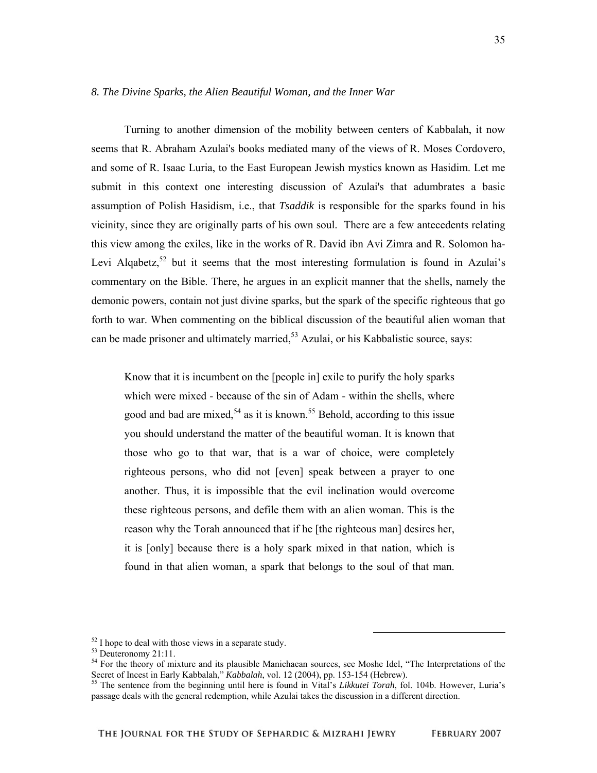## *8. The Divine Sparks, the Alien Beautiful Woman, and the Inner War*

 Turning to another dimension of the mobility between centers of Kabbalah, it now seems that R. Abraham Azulai's books mediated many of the views of R. Moses Cordovero, and some of R. Isaac Luria, to the East European Jewish mystics known as Hasidim. Let me submit in this context one interesting discussion of Azulai's that adumbrates a basic assumption of Polish Hasidism, i.e., that *Tsaddik* is responsible for the sparks found in his vicinity, since they are originally parts of his own soul. There are a few antecedents relating this view among the exiles, like in the works of R. David ibn Avi Zimra and R. Solomon ha-Levi Algabetz,<sup>52</sup> but it seems that the most interesting formulation is found in Azulai's commentary on the Bible. There, he argues in an explicit manner that the shells, namely the demonic powers, contain not just divine sparks, but the spark of the specific righteous that go forth to war. When commenting on the biblical discussion of the beautiful alien woman that can be made prisoner and ultimately married,  $5<sup>3</sup>$  Azulai, or his Kabbalistic source, says:

Know that it is incumbent on the [people in] exile to purify the holy sparks which were mixed - because of the sin of Adam - within the shells, where good and bad are mixed,  $54$  as it is known.<sup>55</sup> Behold, according to this issue you should understand the matter of the beautiful woman. It is known that those who go to that war, that is a war of choice, were completely righteous persons, who did not [even] speak between a prayer to one another. Thus, it is impossible that the evil inclination would overcome these righteous persons, and defile them with an alien woman. This is the reason why the Torah announced that if he [the righteous man] desires her, it is [only] because there is a holy spark mixed in that nation, which is found in that alien woman, a spark that belongs to the soul of that man.

<sup>&</sup>lt;sup>52</sup> I hope to deal with those views in a separate study.

<sup>53</sup> Deuteronomy 21:11.

<sup>&</sup>lt;sup>54</sup> For the theory of mixture and its plausible Manichaean sources, see Moshe Idel, "The Interpretations of the Secret of Incest in Early Kabbalah," *Kabbalah*, vol. 12 (2004), pp. 153-154 (Hebrew).<br><sup>55</sup> The sentence from the beginning until here is found in Vital's *Likkutei Torah*, fol. 104b. However, Luria's

passage deals with the general redemption, while Azulai takes the discussion in a different direction.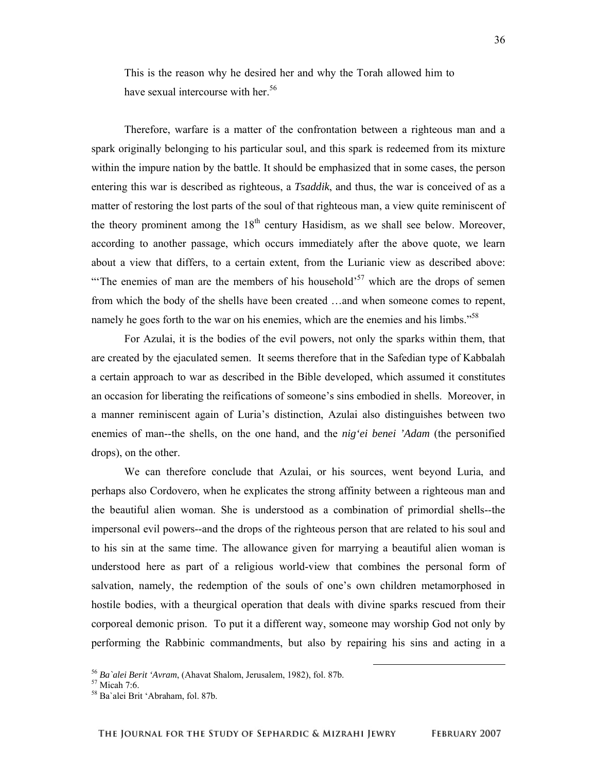This is the reason why he desired her and why the Torah allowed him to have sexual intercourse with her.<sup>56</sup>

 Therefore, warfare is a matter of the confrontation between a righteous man and a spark originally belonging to his particular soul, and this spark is redeemed from its mixture within the impure nation by the battle. It should be emphasized that in some cases, the person entering this war is described as righteous, a *Tsaddik*, and thus, the war is conceived of as a matter of restoring the lost parts of the soul of that righteous man, a view quite reminiscent of the theory prominent among the  $18<sup>th</sup>$  century Hasidism, as we shall see below. Moreover, according to another passage, which occurs immediately after the above quote, we learn about a view that differs, to a certain extent, from the Lurianic view as described above: "The enemies of man are the members of his household"<sup>57</sup> which are the drops of semen from which the body of the shells have been created …and when someone comes to repent, namely he goes forth to the war on his enemies, which are the enemies and his limbs."<sup>58</sup>

 For Azulai, it is the bodies of the evil powers, not only the sparks within them, that are created by the ejaculated semen. It seems therefore that in the Safedian type of Kabbalah a certain approach to war as described in the Bible developed, which assumed it constitutes an occasion for liberating the reifications of someone's sins embodied in shells. Moreover, in a manner reminiscent again of Luria's distinction, Azulai also distinguishes between two enemies of man--the shells, on the one hand, and the *nig'ei benei 'Adam* (the personified drops), on the other.

 We can therefore conclude that Azulai, or his sources, went beyond Luria, and perhaps also Cordovero, when he explicates the strong affinity between a righteous man and the beautiful alien woman. She is understood as a combination of primordial shells--the impersonal evil powers--and the drops of the righteous person that are related to his soul and to his sin at the same time. The allowance given for marrying a beautiful alien woman is understood here as part of a religious world-view that combines the personal form of salvation, namely, the redemption of the souls of one's own children metamorphosed in hostile bodies, with a theurgical operation that deals with divine sparks rescued from their corporeal demonic prison. To put it a different way, someone may worship God not only by performing the Rabbinic commandments, but also by repairing his sins and acting in a

<sup>&</sup>lt;sup>56</sup> *Ba`alei Berit 'Avram*, (Ahavat Shalom, Jerusalem, 1982), fol. 87b.<br><sup>57</sup> Micah 7:6.

<sup>58</sup> Ba`alei Brit 'Abraham, fol. 87b.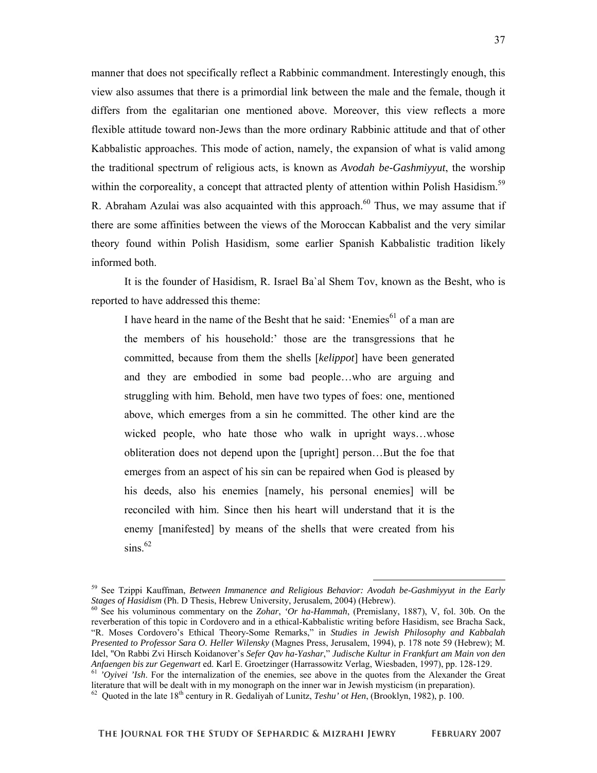manner that does not specifically reflect a Rabbinic commandment. Interestingly enough, this view also assumes that there is a primordial link between the male and the female, though it differs from the egalitarian one mentioned above. Moreover, this view reflects a more flexible attitude toward non-Jews than the more ordinary Rabbinic attitude and that of other Kabbalistic approaches. This mode of action, namely, the expansion of what is valid among the traditional spectrum of religious acts, is known as *Avodah be-Gashmiyyut*, the worship within the corporeality, a concept that attracted plenty of attention within Polish Hasidism.<sup>59</sup> R. Abraham Azulai was also acquainted with this approach.<sup>60</sup> Thus, we may assume that if there are some affinities between the views of the Moroccan Kabbalist and the very similar theory found within Polish Hasidism, some earlier Spanish Kabbalistic tradition likely informed both.

 It is the founder of Hasidism, R. Israel Ba`al Shem Tov, known as the Besht, who is reported to have addressed this theme:

I have heard in the name of the Besht that he said: 'Enemies<sup>61</sup> of a man are the members of his household:' those are the transgressions that he committed, because from them the shells [*kelippot*] have been generated and they are embodied in some bad people…who are arguing and struggling with him. Behold, men have two types of foes: one, mentioned above, which emerges from a sin he committed. The other kind are the wicked people, who hate those who walk in upright ways…whose obliteration does not depend upon the [upright] person…But the foe that emerges from an aspect of his sin can be repaired when God is pleased by his deeds, also his enemies [namely, his personal enemies] will be reconciled with him. Since then his heart will understand that it is the enemy [manifested] by means of the shells that were created from his  $\sin s$ .<sup>62</sup>

<sup>&</sup>lt;sup>59</sup> See Tzippi Kauffman, *Between Immanence and Religious Behavior: Avodah be-Gashmiyyut in the Early Stages of Hasidism (Ph. D Thesis, Hebrew University, Jerusalem, 2004) (Hebrew).* 

<sup>&</sup>lt;sup>60</sup> See his voluminous commentary on the *Zohar, 'Or ha-Hammah*, (Premislany, 1887), V, fol. 30b. On the reverberation of this topic in Cordovero and in a ethical-Kabbalistic writing before Hasidism, see Bracha Sack, "R. Moses Cordovero's Ethical Theory-Some Remarks," in *Studies in Jewish Philosophy and Kabbalah Presented to Professor Sara O. Heller Wilensky* (Magnes Press, Jerusalem, 1994), p. 178 note 59 (Hebrew); M. Idel, "On Rabbi Zvi Hirsch Koidanover's *Sefer Qav ha-Yashar*," *Judische Kultur in Frankfurt am Main von den* 

 $61$  'Oyivei 'Ish. For the internalization of the enemies, see above in the quotes from the Alexander the Great literature that will be dealt with in my monograph on the inner war in Jewish mysticism (in preparation).

 $^{62}$  Quoted in the late  $18^{th}$  century in R. Gedaliyah of Lunitz, *Teshu' ot Hen*, (Brooklyn, 1982), p. 100.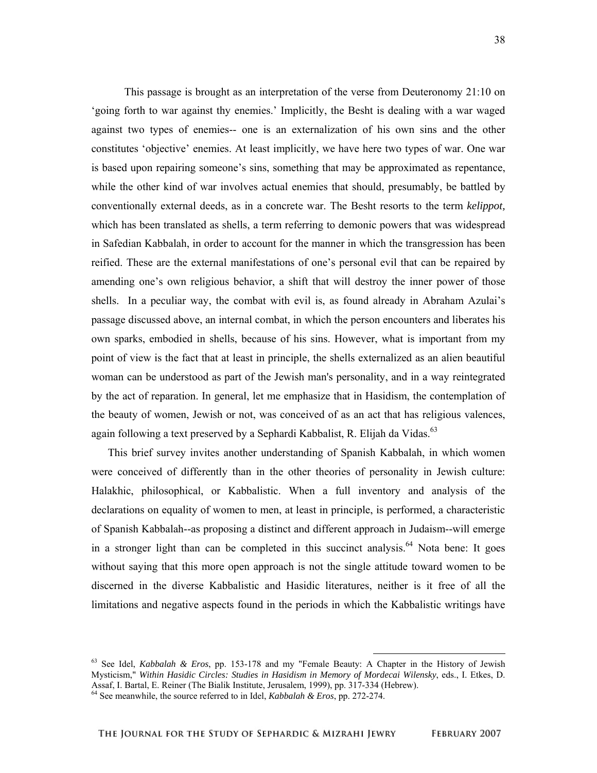This passage is brought as an interpretation of the verse from Deuteronomy 21:10 on 'going forth to war against thy enemies.' Implicitly, the Besht is dealing with a war waged against two types of enemies-- one is an externalization of his own sins and the other constitutes 'objective' enemies. At least implicitly, we have here two types of war. One war is based upon repairing someone's sins, something that may be approximated as repentance, while the other kind of war involves actual enemies that should, presumably, be battled by conventionally external deeds, as in a concrete war. The Besht resorts to the term *kelippot,* which has been translated as shells, a term referring to demonic powers that was widespread in Safedian Kabbalah, in order to account for the manner in which the transgression has been reified. These are the external manifestations of one's personal evil that can be repaired by amending one's own religious behavior, a shift that will destroy the inner power of those shells. In a peculiar way, the combat with evil is, as found already in Abraham Azulai's passage discussed above, an internal combat, in which the person encounters and liberates his own sparks, embodied in shells, because of his sins. However, what is important from my point of view is the fact that at least in principle, the shells externalized as an alien beautiful woman can be understood as part of the Jewish man's personality, and in a way reintegrated by the act of reparation. In general, let me emphasize that in Hasidism, the contemplation of the beauty of women, Jewish or not, was conceived of as an act that has religious valences, again following a text preserved by a Sephardi Kabbalist, R. Elijah da Vidas.<sup>63</sup>

 This brief survey invites another understanding of Spanish Kabbalah, in which women were conceived of differently than in the other theories of personality in Jewish culture: Halakhic, philosophical, or Kabbalistic. When a full inventory and analysis of the declarations on equality of women to men, at least in principle, is performed, a characteristic of Spanish Kabbalah--as proposing a distinct and different approach in Judaism--will emerge in a stronger light than can be completed in this succinct analysis.<sup>64</sup> Nota bene: It goes without saying that this more open approach is not the single attitude toward women to be discerned in the diverse Kabbalistic and Hasidic literatures, neither is it free of all the limitations and negative aspects found in the periods in which the Kabbalistic writings have

 <sup>63</sup> See Idel, *Kabbalah & Eros*, pp. 153-178 and my "Female Beauty: A Chapter in the History of Jewish Mysticism," *Within Hasidic Circles: Studies in Hasidism in Memory of Mordecai Wilensky*, eds., I. Etkes, D. Assaf, I. Bartal, E. Reiner (The Bialik Institute, Jerusalem, 1999), pp. 317-334 (Hebrew).

<sup>64</sup> See meanwhile, the source referred to in Idel, *Kabbalah & Eros*, pp. 272-274.